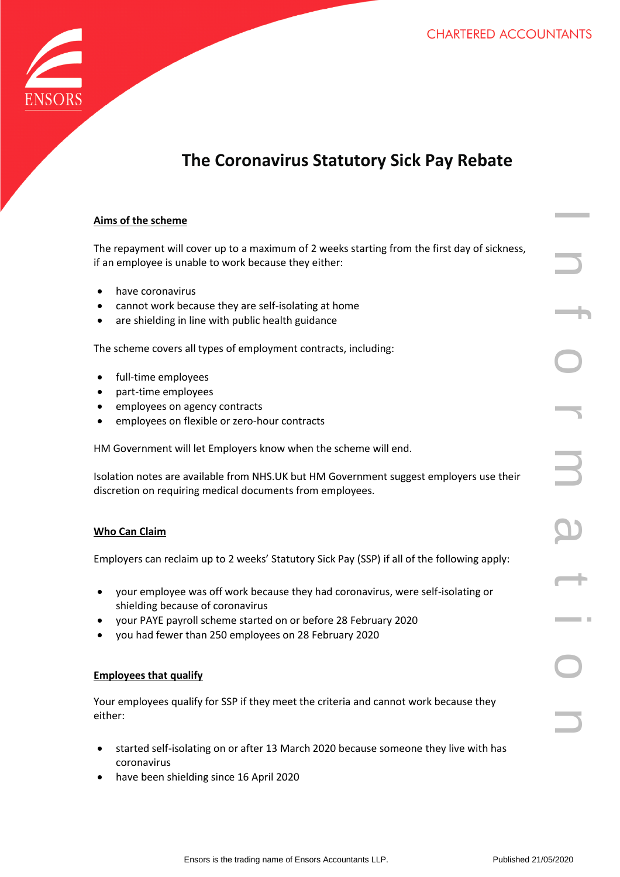

# **The Coronavirus Statutory Sick Pay Rebate**

|  | Aims of the scheme |
|--|--------------------|
|  |                    |

Ensors is the trading name of Ensors in the first day of sickness,<br>
analog to a maximum of 2 weeks starting from the first day of sickness,<br>
the tradit of trading accountants used<br>
all types of employment contracts, includ The repayment will cover up to a maximum of 2 weeks starting from the first day of sickness, if an employee is unable to work because they either:

- have coronavirus
- cannot work because they are self-isolating at home
- are [shielding in line with public health guidance](https://www.gov.uk/government/publications/guidance-on-shielding-and-protecting-extremely-vulnerable-persons-from-covid-19)

The scheme covers all types of employment contracts, including:

- full-time employees
- part-time employees
- employees on agency contracts
- employees on flexible or zero-hour contracts

HM Government will let Employers know when the scheme will end.

Isolation notes are available from NHS.UK but HM Government suggest employers use their discretion on requiring medical documents from employees.

## **Who Can Claim**

Employers can reclaim up to 2 weeks' Statutory Sick Pay (SSP) if all of the following apply:

- your employee was off work because they had coronavirus, were self-isolating or shielding because of coronavirus
- your [PAYE payroll scheme](https://www.gov.uk/paye-for-employers) started on or before 28 February 2020
- you had fewer than 250 employees on 28 February 2020

## **Employees that qualify**

Your employees qualify for SSP if they meet the criteria and cannot work because they either:

- started self-isolating on or after 13 March 2020 because someone they live with has coronavirus
- have been shielding since 16 April 2020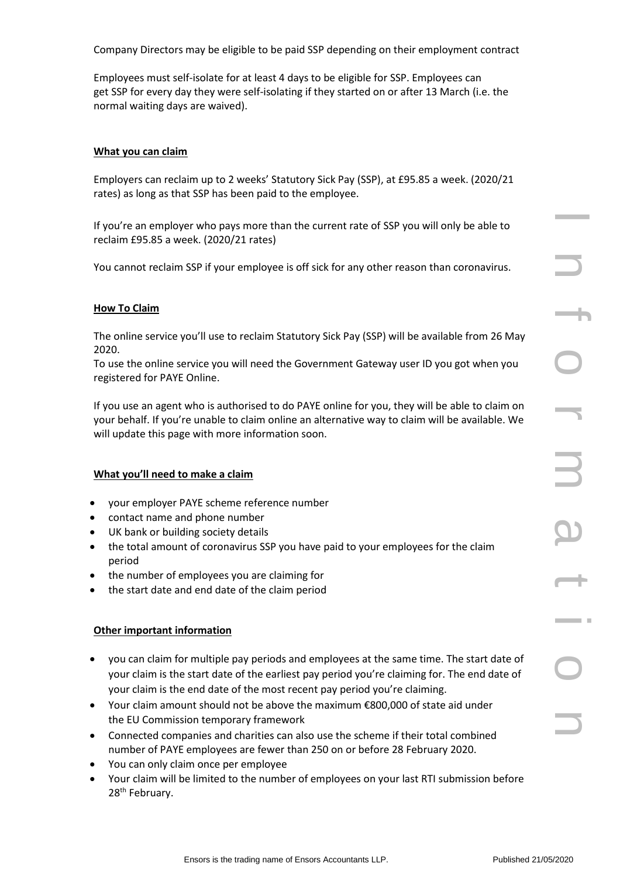Company Directors may be eligible to be paid SSP depending on their employment contract

Employees must self-isolate for at least 4 days to be eligible for SSP. Employees can get SSP for every day they were self-isolating if they started on or after 13 March (i.e. the normal waiting days are waived).

#### **What you can claim**

Employers can reclaim up to 2 weeks' Statutory Sick Pay (SSP), at £95.85 a week. (2020/21 rates) as long as that SSP has been paid to the employee.

If you're an employer who pays more than the current rate of SSP you will only be able to reclaim £95.85 a week. (2020/21 rates)

You cannot reclaim SSP if your employee is off sick for any other reason than coronavirus.

#### **How To Claim**

The online service you'll use to reclaim Statutory Sick Pay (SSP) will be available from 26 May 2020.

To use the online service you will need the Government Gateway user ID you got when you registered for PAYE Online.

If you use an agent who is authorised to do PAYE online for you, they will be able to claim on your behalf. If you're unable to claim online an alternative way to claim will be available. We will update this page with more information soon.

#### **What you'll need to make a claim**

- your employer PAYE scheme reference number
- contact name and phone number
- UK bank or building society details
- the total amount of coronavirus SSP you have paid to your employees for the claim period
- the number of employees you are claiming for
- the start date and end date of the claim period

#### **Other important information**

- you can claim for multiple pay periods and employees at the same time. The start date of your claim is the start date of the earliest pay period you're claiming for. The end date of your claim is the end date of the most recent pay period you're claiming.
- Your claim amount should not be above the maximum €800,000 of state aid under the [EU Commission temporary framework](https://ec.europa.eu/commission/presscorner/detail/en/ip_20_603)
- Connected companies and charities can also use the scheme if their total combined number of PAYE employees are fewer than 250 on or before 28 February 2020.
- You can only claim once per employee
- Your claim will be limited to the number of employees on your last RTI submission before 28<sup>th</sup> February.